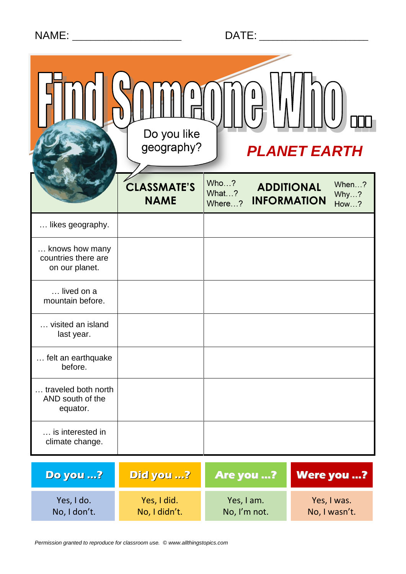| Do you like<br>geography?<br><b>PLANET EARTH</b>        |                                   |                         |                                                                         |
|---------------------------------------------------------|-----------------------------------|-------------------------|-------------------------------------------------------------------------|
|                                                         | <b>CLASSMATE'S</b><br><b>NAME</b> | Who?<br>What?<br>Where? | When?<br><b>ADDITIONAL</b><br>Why?<br><b>INFORMATION</b><br><b>How?</b> |
| likes geography.                                        |                                   |                         |                                                                         |
| knows how many<br>countries there are<br>on our planet. |                                   |                         |                                                                         |
| lived on a<br>mountain before.                          |                                   |                         |                                                                         |
| visited an island<br>last year.                         |                                   |                         |                                                                         |
| felt an earthquake<br>before.                           |                                   |                         |                                                                         |
| traveled both north<br>AND south of the<br>equator.     |                                   |                         |                                                                         |
| is interested in<br>climate change.                     |                                   |                         |                                                                         |
| <b>Do you ?</b>                                         | Did you ?                         | Are you ?               | <b>Were you ?</b>                                                       |
| Yes, I do.                                              | Yes, I did.                       | Yes, I am.              | Yes, I was.                                                             |

Yes, I did. No, I didn't.

Yes, I am. No, I'm not.

Yes, I was. No, I wasn't.

No, I don't.